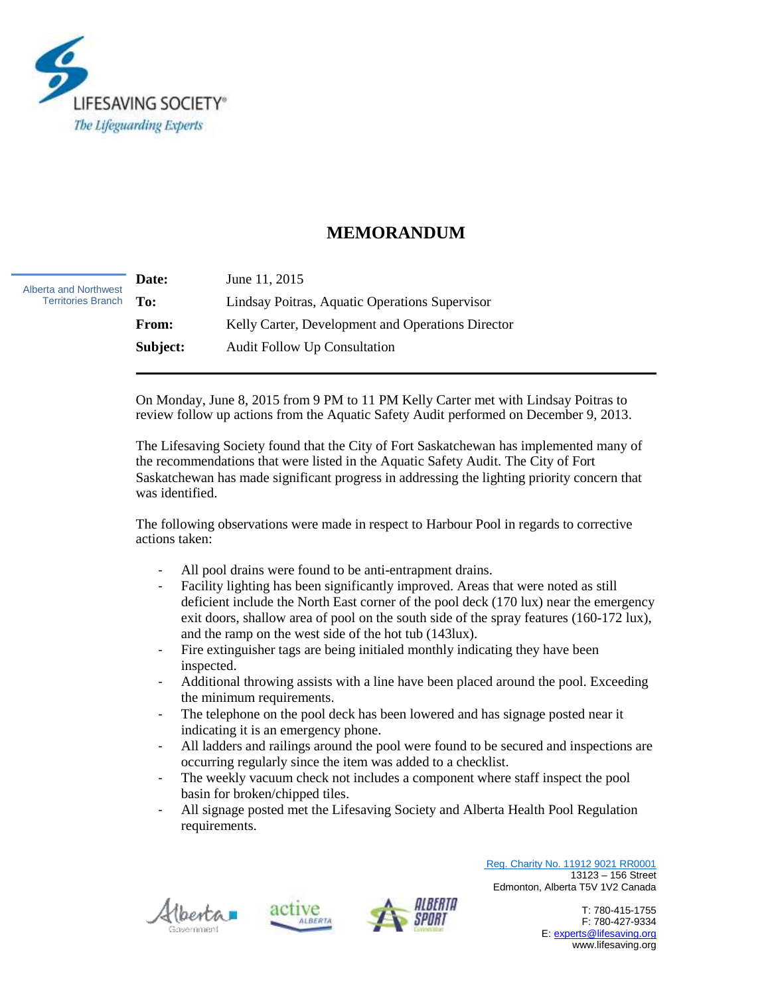

## **MEMORANDUM**

**Date:** June 11, 2015 **To:** Lindsay Poitras, Aquatic Operations Supervisor **From:** Kelly Carter, Development and Operations Director **Subject:** Audit Follow Up Consultation Alberta and Northwest Territories Branch

> On Monday, June 8, 2015 from 9 PM to 11 PM Kelly Carter met with Lindsay Poitras to review follow up actions from the Aquatic Safety Audit performed on December 9, 2013.

The Lifesaving Society found that the City of Fort Saskatchewan has implemented many of the recommendations that were listed in the Aquatic Safety Audit. The City of Fort Saskatchewan has made significant progress in addressing the lighting priority concern that was identified.

The following observations were made in respect to Harbour Pool in regards to corrective actions taken:

- All pool drains were found to be anti-entrapment drains.
- Facility lighting has been significantly improved. Areas that were noted as still deficient include the North East corner of the pool deck (170 lux) near the emergency exit doors, shallow area of pool on the south side of the spray features (160-172 lux), and the ramp on the west side of the hot tub (143lux).
- Fire extinguisher tags are being initialed monthly indicating they have been inspected.
- Additional throwing assists with a line have been placed around the pool. Exceeding the minimum requirements.
- The telephone on the pool deck has been lowered and has signage posted near it indicating it is an emergency phone.
- All ladders and railings around the pool were found to be secured and inspections are occurring regularly since the item was added to a checklist.
- The weekly vacuum check not includes a component where staff inspect the pool basin for broken/chipped tiles.
- All signage posted met the Lifesaving Society and Alberta Health Pool Regulation requirements.







Reg. Charity No. 11912 9021 RR0001 13123 – 156 Street Edmonton, Alberta T5V 1V2 Canada

> T: 780-415-1755 F: 780-427-9334 E[: experts@lifesaving.org](mailto:experts@lifesaving.org) www.lifesaving.org